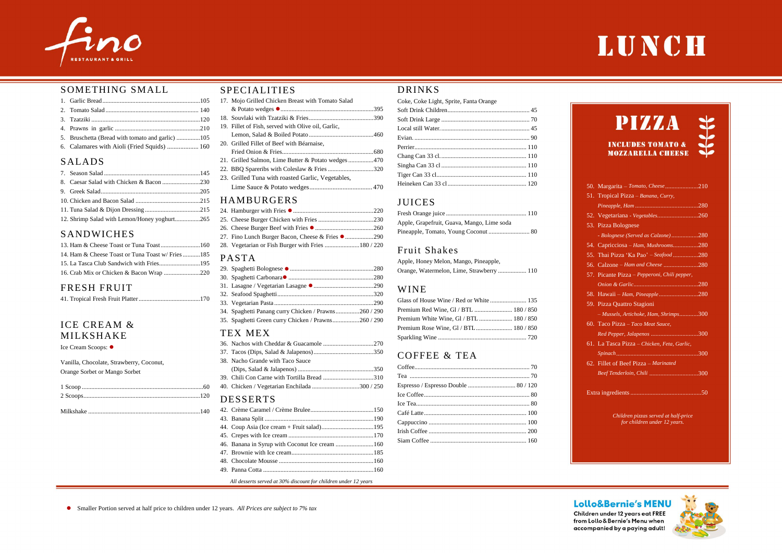### SPECIALITIES

| 17. Mojo Grilled Chicken Breast with Tomato Salad  |  |  |
|----------------------------------------------------|--|--|
|                                                    |  |  |
|                                                    |  |  |
| 19. Fillet of Fish, served with Olive oil, Garlic, |  |  |
|                                                    |  |  |
| 20. Grilled Fillet of Beef with Béarnaise,         |  |  |
|                                                    |  |  |
| 21. Grilled Salmon, Lime Butter & Potato wedges470 |  |  |
| 22. BBQ Spareribs with Coleslaw & Fries 320        |  |  |
| 23. Grilled Tuna with roasted Garlic, Vegetables,  |  |  |
|                                                    |  |  |
| <b>HAMRIIRCERS</b>                                 |  |  |

### HAMBURGERS

| 27. Fino Lunch Burger Bacon, Cheese & Fries ● 290 |  |
|---------------------------------------------------|--|
|                                                   |  |

### PASTA

| 34. Spaghetti Panang curry Chicken / Prawns260 / 290 |  |
|------------------------------------------------------|--|
| 35. Spaghetti Green curry Chicken / Prawns260 / 290  |  |
|                                                      |  |

### TEX MEX

| 38. Nacho Grande with Taco Sauce             |  |
|----------------------------------------------|--|
|                                              |  |
| 39. Chili Con Carne with Tortilla Bread 310  |  |
| 40. Chicken / Vegetarian Enchilada 300 / 250 |  |
|                                              |  |

### DESSERTS

| 46. Banana in Syrup with Coconut Ice cream  160 |  |
|-------------------------------------------------|--|
|                                                 |  |
|                                                 |  |
|                                                 |  |
|                                                 |  |

*All desserts served at 30% discount for children under 12 years*

### DRINKS

| Coke, Coke Light, Sprite, Fanta Orange |  |
|----------------------------------------|--|
|                                        |  |
|                                        |  |
|                                        |  |
|                                        |  |
|                                        |  |
|                                        |  |
|                                        |  |
|                                        |  |
|                                        |  |

## JUICES

| Apple, Grapefruit, Guava, Mango, Lime soda |  |
|--------------------------------------------|--|
|                                            |  |

### Fruit Shakes

| Apple, Honey Melon, Mango, Pineapple,     |  |
|-------------------------------------------|--|
| Orange, Watermelon, Lime, Strawberry  110 |  |

### WINE

| Glass of House Wine / Red or White  135 |  |
|-----------------------------------------|--|
|                                         |  |
|                                         |  |
|                                         |  |
|                                         |  |

## COFFEE & TEA

| Espresso / Espresso Double  80 / 120 |  |
|--------------------------------------|--|
|                                      |  |
|                                      |  |
|                                      |  |
|                                      |  |
|                                      |  |
|                                      |  |
|                                      |  |



### SOMETHING SMALL

| 6. Calamares with Aioli (Fried Squids)  160 |  |
|---------------------------------------------|--|

### SALADS

| 12. Shrimp Salad with Lemon/Honey yoghurt265 |  |
|----------------------------------------------|--|

### SANDWICHES

| 14. Ham & Cheese Toast or Tuna Toast w/ Fries 185 |  |
|---------------------------------------------------|--|
|                                                   |  |
|                                                   |  |
|                                                   |  |

### FRESH FRUIT

|--|--|--|--|--|

## ICE CREAM & MILKSHAKE

Ice Cream Scoops: ●

Vanilla, Chocolate, Strawberry, Coconut, Orange Sorbet or Mango Sorbet

| 50. Margarita – Tomato, Cheese 210           |
|----------------------------------------------|
| 51. Tropical Pizza - Banana, Curry,          |
|                                              |
| 52. Vegetariana - Vegetables260              |
| 53. Pizza Bolognese                          |
| - Bolognese (Served as Calzone)280           |
| 54. Capricciosa - Ham, Mushrooms280          |
| 55. Thai Pizza 'Ka Pao' - Seafood 280        |
| 56. Calzone – Ham and Cheese 280             |
| 57. Picante Pizza – Pepperoni, Chili pepper, |
|                                              |
| 58. Hawaii – Ham, Pineapple280               |
| 59. Pizza Quattro Stagioni                   |
| - Mussels, Artichoke, Ham, Shrimps300        |
| 60. Taco Pizza - Taco Meat Sauce,            |
| Red Pepper, Jalapenos 300                    |
| 61. La Tasca Pizza - Chicken, Feta, Garlic,  |
|                                              |
| 62. Fillet of Beef Pizza – Marinated         |
|                                              |
|                                              |
|                                              |

*Children pizzas served at half-price for children under 12 years.*

### **Lollo&Bernie's MENU**

Children under 12 years eat FREE from Lollo & Bernie's Menu when accompanied by a paying adult!



## LUNCH

## **PIZZA**

**INCLUDES TOMATO & MOZZARELLA CHEESE**